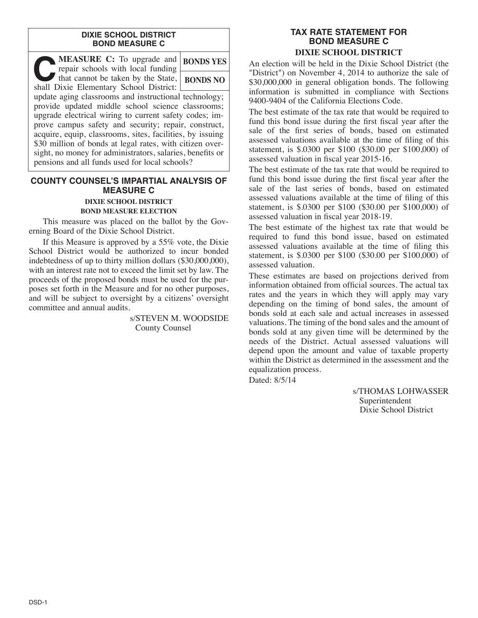#### **DIXIE SCHOOL DISTRICT BOND MEASURE C**

| <b>MEASURE C:</b> To upgrade and<br>repair schools with local funding                                                                                                                                                                                                                                                                                                                                                                                                | <b>BONDS YES</b> |
|----------------------------------------------------------------------------------------------------------------------------------------------------------------------------------------------------------------------------------------------------------------------------------------------------------------------------------------------------------------------------------------------------------------------------------------------------------------------|------------------|
| that cannot be taken by the State,<br>shall Dixie Elementary School District:                                                                                                                                                                                                                                                                                                                                                                                        | <b>BONDS NO</b>  |
| update aging classrooms and instructional technology;<br>provide updated middle school science classrooms;<br>upgrade electrical wiring to current safety codes; im-<br>prove campus safety and security; repair, construct,<br>acquire, equip, classrooms, sites, facilities, by issuing<br>\$30 million of bonds at legal rates, with citizen over-<br>sight, no money for administrators, salaries, benefits or<br>pensions and all funds used for local schools? |                  |

### **COUNTY COUNSEL'S IMPARTIAL ANALYSIS OF MEASURE C DIXIE SCHOOL DISTRICT**

# **BOND MEASURE ELECTION**

This measure was placed on the ballot by the Governing Board of the Dixie School District.

If this Measure is approved by a 55% vote, the Dixie School District would be authorized to incur bonded indebtedness of up to thirty million dollars (\$30,000,000), with an interest rate not to exceed the limit set by law. The proceeds of the proposed bonds must be used for the purposes set forth in the Measure and for no other purposes, and will be subject to oversight by a citizens' oversight committee and annual audits.

> s/STEVEN M. WOODSIDE County Counsel

## **TAX RATE STATEMENT FOR BOND MEASURE C DIXIE SCHOOL DISTRICT**

An election will be held in the Dixie School District (the "District") on November 4, 2014 to authorize the sale of \$30,000,000 in general obligation bonds. The following information is submitted in compliance with Sections 9400-9404 of the California Elections Code.

The best estimate of the tax rate that would be required to fund this bond issue during the first fiscal year after the sale of the first series of bonds, based on estimated assessed valuations available at the time of filing of this statement, is \$.0300 per \$100 (\$30.00 per \$100,000) of assessed valuation in fiscal year 2015-16.

The best estimate of the tax rate that would be required to fund this bond issue during the first fiscal year after the sale of the last series of bonds, based on estimated assessed valuations available at the time of filing of this statement, is \$.0300 per \$100 (\$30.00 per \$100,000) of assessed valuation in fiscal year 2018-19.

The best estimate of the highest tax rate that would be required to fund this bond issue, based on estimated assessed valuations available at the time of filing this statement, is \$.0300 per \$100 (\$30.00 per \$100,000) of assessed valuation.

These estimates are based on projections derived from information obtained from official sources. The actual tax rates and the years in which they will apply may vary depending on the timing of bond sales, the amount of bonds sold at each sale and actual increases in assessed valuations. The timing of the bond sales and the amount of bonds sold at any given time will be determined by the needs of the District. Actual assessed valuations will depend upon the amount and value of taxable property within the District as determined in the assessment and the equalization process.

Dated: 8/5/14

s/THOMAS LOHWASSER Superintendent Dixie School District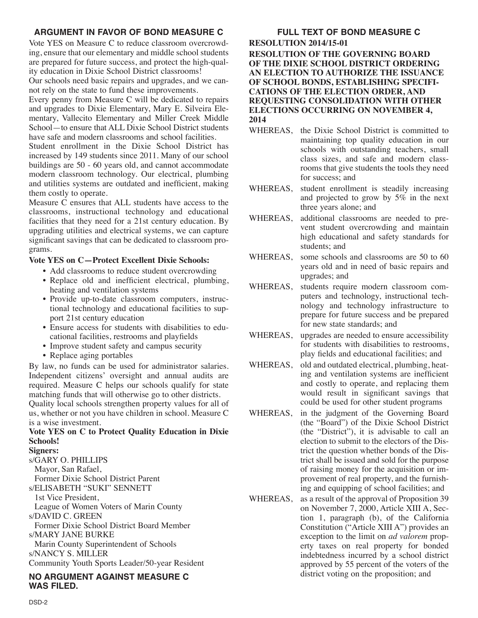# **ARGUMENT IN FAVOR OF BOND MEASURE C**

Vote YES on Measure C to reduce classroom overcrowding, ensure that our elementary and middle school students are prepared for future success, and protect the high-quality education in Dixie School District classrooms!

Our schools need basic repairs and upgrades, and we cannot rely on the state to fund these improvements.

Every penny from Measure C will be dedicated to repairs and upgrades to Dixie Elementary, Mary E. Silveira Elementary, Vallecito Elementary and Miller Creek Middle School—to ensure that ALL Dixie School District students have safe and modern classrooms and school facilities.

Student enrollment in the Dixie School District has increased by 149 students since 2011. Many of our school buildings are 50 - 60 years old, and cannot accommodate modern classroom technology. Our electrical, plumbing and utilities systems are outdated and inefficient, making them costly to operate.

Measure C ensures that ALL students have access to the classrooms, instructional technology and educational facilities that they need for a 21st century education. By upgrading utilities and electrical systems, we can capture significant savings that can be dedicated to classroom programs.

# **Vote YES on C—Protect Excellent Dixie Schools:**

- Add classrooms to reduce student overcrowding
- Replace old and inefficient electrical, plumbing, heating and ventilation systems
- Provide up-to-date classroom computers, instructional technology and educational facilities to support 21st century education
- Ensure access for students with disabilities to educational facilities, restrooms and playfields
- Improve student safety and campus security
- Replace aging portables

By law, no funds can be used for administrator salaries. Independent citizens' oversight and annual audits are required. Measure C helps our schools qualify for state matching funds that will otherwise go to other districts. Quality local schools strengthen property values for all of us, whether or not you have children in school. Measure C is a wise investment.

# **Vote YES on C to Protect Quality Education in Dixie Schools!**

**Signers:** s/GARY O. PHILLIPS Mayor, San Rafael, Former Dixie School District Parent s/ELISABETH "SUKI" SENNETT 1st Vice President, League of Women Voters of Marin County s/DAVID C. GREEN Former Dixie School District Board Member s/MARY JANE BURKE Marin County Superintendent of Schools s/NANCY S. MILLER Community Youth Sports Leader/50-year Resident

**NO ARGUMENT AGAINST MEASURE C WAS FILED.**

#### **FULL TEXT OF BOND MEASURE C RESOLUTION 2014/15-01 RESOLUTION OF THE GOVERNING BOARD OF THE DIXIE SCHOOL DISTRICT ORDERING AN ELECTION TO AUTHORIZE THE ISSUANCE OF SCHOOL BONDS, ESTABLISHING SPECIFI-CATIONS OF THE ELECTION ORDER, AND REQUESTING CONSOLIDATION WITH OTHER ELECTIONS OCCURRING ON NOVEMBER 4, 2014**

- WHEREAS, the Dixie School District is committed to maintaining top quality education in our schools with outstanding teachers, small class sizes, and safe and modern classrooms that give students the tools they need for success; and
- WHEREAS, student enrollment is steadily increasing and projected to grow by 5% in the next three years alone; and
- WHEREAS, additional classrooms are needed to prevent student overcrowding and maintain high educational and safety standards for students; and
- WHEREAS, some schools and classrooms are 50 to 60 years old and in need of basic repairs and upgrades; and
- WHEREAS, students require modern classroom computers and technology, instructional technology and technology infrastructure to prepare for future success and be prepared for new state standards; and
- WHEREAS, upgrades are needed to ensure accessibility for students with disabilities to restrooms, play fields and educational facilities; and
- WHEREAS, old and outdated electrical, plumbing, heating and ventilation systems are inefficient and costly to operate, and replacing them would result in significant savings that could be used for other student programs
- WHEREAS, in the judgment of the Governing Board (the "Board") of the Dixie School District (the "District"), it is advisable to call an election to submit to the electors of the District the question whether bonds of the District shall be issued and sold for the purpose of raising money for the acquisition or improvement of real property, and the furnishing and equipping of school facilities; and
- WHEREAS, as a result of the approval of Proposition 39 on November 7, 2000, Article XIII A, Section 1, paragraph (b), of the California Constitution ("Article XIII A") provides an exception to the limit on *ad valorem* property taxes on real property for bonded indebtedness incurred by a school district approved by 55 percent of the voters of the district voting on the proposition; and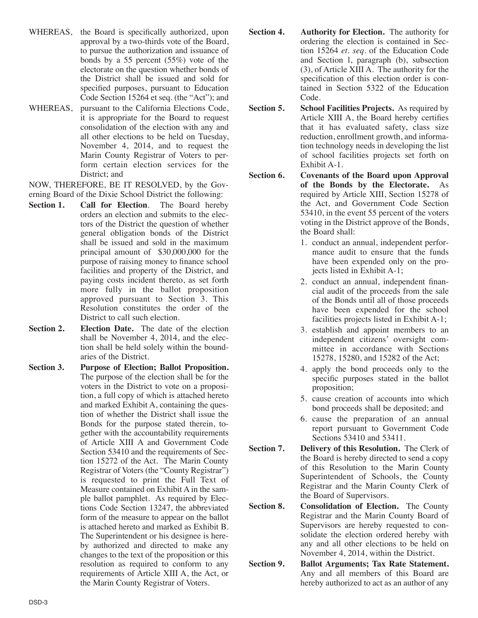- WHEREAS, the Board is specifically authorized, upon approval by a two-thirds vote of the Board, to pursue the authorization and issuance of bonds by a 55 percent (55%) vote of the electorate on the question whether bonds of the District shall be issued and sold for specified purposes, pursuant to Education Code Section 15264 et seq. (the "Act"); and
- WHEREAS, pursuant to the California Elections Code, it is appropriate for the Board to request consolidation of the election with any and all other elections to be held on Tuesday, November 4, 2014, and to request the Marin County Registrar of Voters to perform certain election services for the District; and

NOW, THEREFORE, BE IT RESOLVED, by the Governing Board of the Dixie School District the following:

- **Section 1. Call for Election**. The Board hereby orders an election and submits to the electors of the District the question of whether general obligation bonds of the District shall be issued and sold in the maximum principal amount of \$30,000,000 for the purpose of raising money to finance school facilities and property of the District, and paying costs incident thereto, as set forth more fully in the ballot proposition approved pursuant to Section 3. This Resolution constitutes the order of the District to call such election.
- **Section 2. Election Date.** The date of the election shall be November 4, 2014, and the election shall be held solely within the boundaries of the District.
- **Section 3. Purpose of Election; Ballot Proposition.** The purpose of the election shall be for the voters in the District to vote on a proposition, a full copy of which is attached hereto and marked Exhibit A, containing the question of whether the District shall issue the Bonds for the purpose stated therein, together with the accountability requirements of Article XIII A and Government Code Section 53410 and the requirements of Section 15272 of the Act. The Marin County Registrar of Voters (the "County Registrar") is requested to print the Full Text of Measure contained on Exhibit A in the sample ballot pamphlet. As required by Elections Code Section 13247, the abbreviated form of the measure to appear on the ballot is attached hereto and marked as Exhibit B. The Superintendent or his designee is hereby authorized and directed to make any changes to the text of the proposition or this resolution as required to conform to any requirements of Article XIII A, the Act, or the Marin County Registrar of Voters.
- **Section 4. Authority for Election.** The authority for ordering the election is contained in Section 15264 *et. seq.* of the Education Code and Section l, paragraph (b), subsection (3), of Article XIII A. The authority for the specification of this election order is contained in Section 5322 of the Education Code.
- **Section 5. School Facilities Projects.** As required by Article XIII A, the Board hereby certifies that it has evaluated safety, class size reduction, enrollment growth, and information technology needs in developing the list of school facilities projects set forth on Exhibit A-1.
- **Section 6. Covenants of the Board upon Approval of the Bonds by the Electorate.** As required by Article XIII, Section 15278 of the Act, and Government Code Section 53410, in the event 55 percent of the voters voting in the District approve of the Bonds, the Board shall:
	- 1. conduct an annual, independent performance audit to ensure that the funds have been expended only on the projects listed in Exhibit A-1;
	- 2. conduct an annual, independent financial audit of the proceeds from the sale of the Bonds until all of those proceeds have been expended for the school facilities projects listed in Exhibit A-1;
	- 3. establish and appoint members to an independent citizens' oversight committee in accordance with Sections 15278, 15280, and 15282 of the Act;
	- 4. apply the bond proceeds only to the specific purposes stated in the ballot proposition;
	- 5. cause creation of accounts into which bond proceeds shall be deposited; and
	- 6. cause the preparation of an annual report pursuant to Government Code Sections 53410 and 53411.
- **Section 7. Delivery of this Resolution.** The Clerk of the Board is hereby directed to send a copy of this Resolution to the Marin County Superintendent of Schools, the County Registrar and the Marin County Clerk of the Board of Supervisors.
- **Section 8. Consolidation of Election.** The County Registrar and the Marin County Board of Supervisors are hereby requested to consolidate the election ordered hereby with any and all other elections to be held on November 4, 2014, within the District.
- **Section 9. Ballot Arguments; Tax Rate Statement.** Any and all members of this Board are hereby authorized to act as an author of any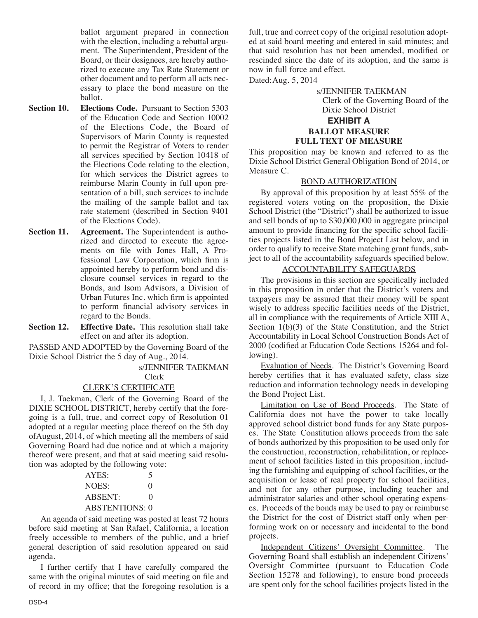ballot argument prepared in connection with the election, including a rebuttal argument. The Superintendent, President of the Board, or their designees, are hereby authorized to execute any Tax Rate Statement or other document and to perform all acts necessary to place the bond measure on the ballot.

- **Section 10. Elections Code.** Pursuant to Section 5303 of the Education Code and Section 10002 of the Elections Code, the Board of Supervisors of Marin County is requested to permit the Registrar of Voters to render all services specified by Section 10418 of the Elections Code relating to the election, for which services the District agrees to reimburse Marin County in full upon presentation of a bill, such services to include the mailing of the sample ballot and tax rate statement (described in Section 9401 of the Elections Code).
- **Section 11. Agreement.** The Superintendent is authorized and directed to execute the agreements on file with Jones Hall, A Professional Law Corporation, which firm is appointed hereby to perform bond and disclosure counsel services in regard to the Bonds, and Isom Advisors, a Division of Urban Futures Inc. which firm is appointed to perform financial advisory services in regard to the Bonds.

**Section 12. Effective Date.** This resolution shall take effect on and after its adoption.

PASSED AND ADOPTED by the Governing Board of the Dixie School District the 5 day of Aug., 2014.

#### s/JENNIFER TAEKMAN Clerk

# CLERK'S CERTIFICATE

I, J. Taekman, Clerk of the Governing Board of the DIXIE SCHOOL DISTRICT, hereby certify that the foregoing is a full, true, and correct copy of Resolution 01 adopted at a regular meeting place thereof on the 5th day ofAugust, 2014, of which meeting all the members of said Governing Board had due notice and at which a majority thereof were present, and that at said meeting said resolution was adopted by the following vote:

| AYES:                 | 5                 |
|-----------------------|-------------------|
| NOES:                 | $\mathcal{O}$     |
| <b>ABSENT:</b>        | $\mathbf{\Omega}$ |
| <b>ABSTENTIONS: 0</b> |                   |

An agenda of said meeting was posted at least 72 hours before said meeting at San Rafael, California, a location freely accessible to members of the public, and a brief general description of said resolution appeared on said agenda.

I further certify that I have carefully compared the same with the original minutes of said meeting on file and of record in my office; that the foregoing resolution is a full, true and correct copy of the original resolution adopted at said board meeting and entered in said minutes; and that said resolution has not been amended, modified or rescinded since the date of its adoption, and the same is now in full force and effect.

Dated:Aug. 5, 2014

s/JENNIFER TAEKMAN Clerk of the Governing Board of the Dixie School District

## **EXHIBIT A BALLOT MEASURE FULL TEXT OF MEASURE**

This proposition may be known and referred to as the Dixie School District General Obligation Bond of 2014, or Measure C.

#### BOND AUTHORIZATION

By approval of this proposition by at least 55% of the registered voters voting on the proposition, the Dixie School District (the "District") shall be authorized to issue and sell bonds of up to \$30,000,000 in aggregate principal amount to provide financing for the specific school facilities projects listed in the Bond Project List below, and in order to qualify to receive State matching grant funds, subject to all of the accountability safeguards specified below.

# ACCOUNTABILITY SAFEGUARDS

The provisions in this section are specifically included in this proposition in order that the District's voters and taxpayers may be assured that their money will be spent wisely to address specific facilities needs of the District, all in compliance with the requirements of Article XIII A, Section  $1(b)(3)$  of the State Constitution, and the Strict Accountability in Local School Construction Bonds Act of 2000 (codified at Education Code Sections 15264 and following).

Evaluation of Needs. The District's Governing Board hereby certifies that it has evaluated safety, class size reduction and information technology needs in developing the Bond Project List.

Limitation on Use of Bond Proceeds. The State of California does not have the power to take locally approved school district bond funds for any State purposes. The State Constitution allows proceeds from the sale of bonds authorized by this proposition to be used only for the construction, reconstruction, rehabilitation, or replacement of school facilities listed in this proposition, including the furnishing and equipping of school facilities, or the acquisition or lease of real property for school facilities, and not for any other purpose, including teacher and administrator salaries and other school operating expenses. Proceeds of the bonds may be used to pay or reimburse the District for the cost of District staff only when performing work on or necessary and incidental to the bond projects.

Independent Citizens' Oversight Committee. The Governing Board shall establish an independent Citizens' Oversight Committee (pursuant to Education Code Section 15278 and following), to ensure bond proceeds are spent only for the school facilities projects listed in the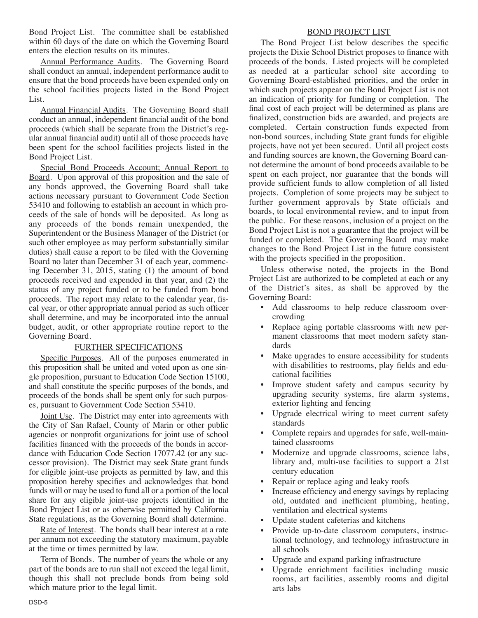Bond Project List. The committee shall be established within 60 days of the date on which the Governing Board enters the election results on its minutes.

Annual Performance Audits. The Governing Board shall conduct an annual, independent performance audit to ensure that the bond proceeds have been expended only on the school facilities projects listed in the Bond Project List.

Annual Financial Audits. The Governing Board shall conduct an annual, independent financial audit of the bond proceeds (which shall be separate from the District's regular annual financial audit) until all of those proceeds have been spent for the school facilities projects listed in the Bond Project List.

Special Bond Proceeds Account; Annual Report to Board. Upon approval of this proposition and the sale of any bonds approved, the Governing Board shall take actions necessary pursuant to Government Code Section 53410 and following to establish an account in which proceeds of the sale of bonds will be deposited. As long as any proceeds of the bonds remain unexpended, the Superintendent or the Business Manager of the District (or such other employee as may perform substantially similar duties) shall cause a report to be filed with the Governing Board no later than December 31 of each year, commencing December 31, 2015, stating (1) the amount of bond proceeds received and expended in that year, and (2) the status of any project funded or to be funded from bond proceeds. The report may relate to the calendar year, fiscal year, or other appropriate annual period as such officer shall determine, and may be incorporated into the annual budget, audit, or other appropriate routine report to the Governing Board.

# FURTHER SPECIFICATIONS

Specific Purposes. All of the purposes enumerated in this proposition shall be united and voted upon as one single proposition, pursuant to Education Code Section 15100, and shall constitute the specific purposes of the bonds, and proceeds of the bonds shall be spent only for such purposes, pursuant to Government Code Section 53410.

Joint Use. The District may enter into agreements with the City of San Rafael, County of Marin or other public agencies or nonprofit organizations for joint use of school facilities financed with the proceeds of the bonds in accordance with Education Code Section 17077.42 (or any successor provision). The District may seek State grant funds for eligible joint-use projects as permitted by law, and this proposition hereby specifies and acknowledges that bond funds will or may be used to fund all or a portion of the local share for any eligible joint-use projects identified in the Bond Project List or as otherwise permitted by California State regulations, as the Governing Board shall determine.

Rate of Interest. The bonds shall bear interest at a rate per annum not exceeding the statutory maximum, payable at the time or times permitted by law.

Term of Bonds. The number of years the whole or any part of the bonds are to run shall not exceed the legal limit, though this shall not preclude bonds from being sold which mature prior to the legal limit.

#### BOND PROJECT LIST

The Bond Project List below describes the specific projects the Dixie School District proposes to finance with proceeds of the bonds. Listed projects will be completed as needed at a particular school site according to Governing Board-established priorities, and the order in which such projects appear on the Bond Project List is not an indication of priority for funding or completion. The final cost of each project will be determined as plans are finalized, construction bids are awarded, and projects are completed. Certain construction funds expected from non-bond sources, including State grant funds for eligible projects, have not yet been secured. Until all project costs and funding sources are known, the Governing Board cannot determine the amount of bond proceeds available to be spent on each project, nor guarantee that the bonds will provide sufficient funds to allow completion of all listed projects. Completion of some projects may be subject to further government approvals by State officials and boards, to local environmental review, and to input from the public. For these reasons, inclusion of a project on the Bond Project List is not a guarantee that the project will be funded or completed. The Governing Board may make changes to the Bond Project List in the future consistent with the projects specified in the proposition.

Unless otherwise noted, the projects in the Bond Project List are authorized to be completed at each or any of the District's sites, as shall be approved by the Governing Board:

- Add classrooms to help reduce classroom overcrowding
- Replace aging portable classrooms with new permanent classrooms that meet modern safety standards
- Make upgrades to ensure accessibility for students with disabilities to restrooms, play fields and educational facilities
- Improve student safety and campus security by upgrading security systems, fire alarm systems, exterior lighting and fencing
- Upgrade electrical wiring to meet current safety standards
- Complete repairs and upgrades for safe, well-maintained classrooms
- Modernize and upgrade classrooms, science labs, library and, multi-use facilities to support a 21st century education
- Repair or replace aging and leaky roofs
- Increase efficiency and energy savings by replacing old, outdated and inefficient plumbing, heating, ventilation and electrical systems
- Update student cafeterias and kitchens
- Provide up-to-date classroom computers, instructional technology, and technology infrastructure in all schools
- Upgrade and expand parking infrastructure
- Upgrade enrichment facilities including music rooms, art facilities, assembly rooms and digital arts labs